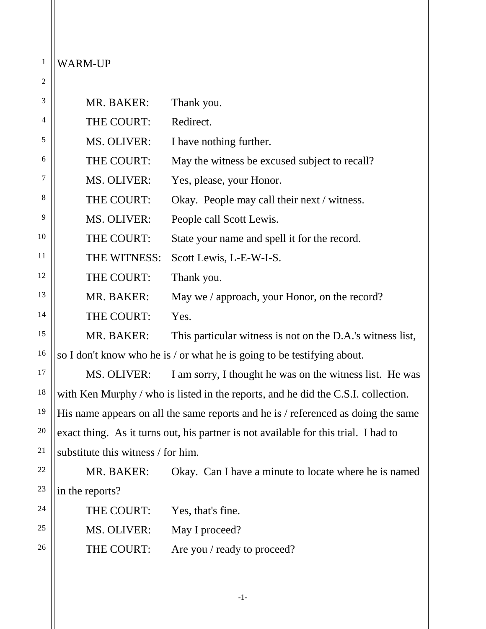## 1 WARM-UP

| $\overline{c}$ |                                    |                                                                                     |
|----------------|------------------------------------|-------------------------------------------------------------------------------------|
| 3              | MR. BAKER:                         | Thank you.                                                                          |
| 4              | THE COURT:                         | Redirect.                                                                           |
| 5              | MS. OLIVER:                        | I have nothing further.                                                             |
| 6              | THE COURT:                         | May the witness be excused subject to recall?                                       |
| 7              | MS. OLIVER:                        | Yes, please, your Honor.                                                            |
| 8              | THE COURT:                         | Okay. People may call their next / witness.                                         |
| 9              | MS. OLIVER:                        | People call Scott Lewis.                                                            |
| 10             | THE COURT:                         | State your name and spell it for the record.                                        |
| 11             | THE WITNESS:                       | Scott Lewis, L-E-W-I-S.                                                             |
| 12             | THE COURT:                         | Thank you.                                                                          |
| 13             | MR. BAKER:                         | May we / approach, your Honor, on the record?                                       |
| 14             | THE COURT:                         | Yes.                                                                                |
| 15             | MR. BAKER:                         | This particular witness is not on the D.A.'s witness list,                          |
| 16             |                                    | so I don't know who he is / or what he is going to be testifying about.             |
| 17             | MS. OLIVER:                        | I am sorry, I thought he was on the witness list. He was                            |
| 18             |                                    | with Ken Murphy / who is listed in the reports, and he did the C.S.I. collection.   |
| 19             |                                    | His name appears on all the same reports and he is / referenced as doing the same   |
| 20             |                                    | exact thing. As it turns out, his partner is not available for this trial. I had to |
| 21             | substitute this witness / for him. |                                                                                     |
| 22             | MR. BAKER:                         | Okay. Can I have a minute to locate where he is named                               |
| 23             | in the reports?                    |                                                                                     |
| 24             | THE COURT:                         | Yes, that's fine.                                                                   |
| 25             | MS. OLIVER:                        | May I proceed?                                                                      |
| 26             | THE COURT:                         | Are you / ready to proceed?                                                         |

-1-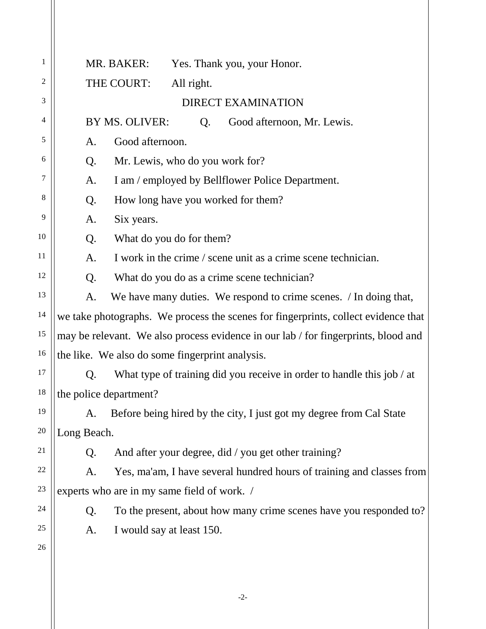| $\mathbf{1}$ | MR. BAKER:<br>Yes. Thank you, your Honor.                                          |
|--------------|------------------------------------------------------------------------------------|
| 2            | THE COURT:<br>All right.                                                           |
| 3            | <b>DIRECT EXAMINATION</b>                                                          |
| 4            | BY MS. OLIVER:<br>Good afternoon, Mr. Lewis.<br>Q.                                 |
| 5            | Good afternoon.<br>A.                                                              |
| 6            | Q.<br>Mr. Lewis, who do you work for?                                              |
| 7            | I am / employed by Bellflower Police Department.<br>A.                             |
| 8            | How long have you worked for them?<br>Q.                                           |
| 9            | Six years.<br>A.                                                                   |
| 10           | What do you do for them?<br>Q.                                                     |
| 11           | I work in the crime / scene unit as a crime scene technician.<br>A.                |
| 12           | Q.<br>What do you do as a crime scene technician?                                  |
| 13           | We have many duties. We respond to crime scenes. / In doing that,<br>A.            |
| 14           | we take photographs. We process the scenes for fingerprints, collect evidence that |
| 15           | may be relevant. We also process evidence in our lab / for fingerprints, blood and |
| 16           | the like. We also do some fingerprint analysis.                                    |
| 17           | What type of training did you receive in order to handle this job / at<br>Q.       |
| 18           | the police department?                                                             |
| 19           | Before being hired by the city, I just got my degree from Cal State<br>A.          |
| 20           | Long Beach.                                                                        |
| 21           | And after your degree, did / you get other training?<br>Q.                         |
| 22           | Yes, ma'am, I have several hundred hours of training and classes from<br>A.        |
| 23           | experts who are in my same field of work. /                                        |
| 24           | To the present, about how many crime scenes have you responded to?<br>Q.           |
| 25           | I would say at least 150.<br>A.                                                    |
| 26           |                                                                                    |
|              |                                                                                    |
|              |                                                                                    |

-2-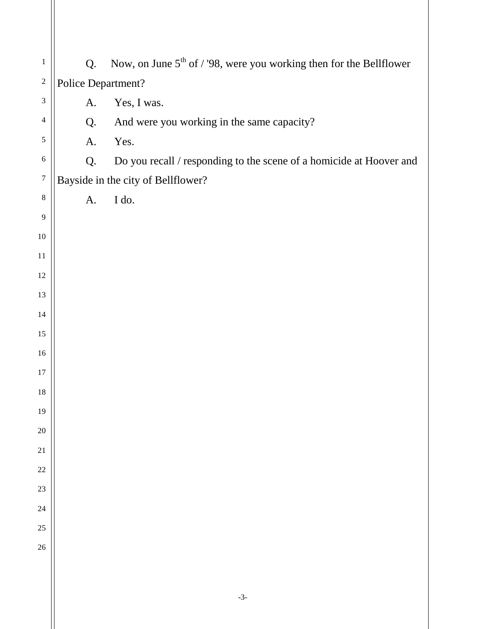| $\mathbf{1}$                | Q.                 | Now, on June $5th$ of / '98, were you working then for the Bellflower |  |
|-----------------------------|--------------------|-----------------------------------------------------------------------|--|
| $\sqrt{2}$                  | Police Department? |                                                                       |  |
| $\ensuremath{\mathfrak{Z}}$ | A.                 | Yes, I was.                                                           |  |
| $\overline{4}$              | Q.                 | And were you working in the same capacity?                            |  |
| $\sqrt{5}$                  | A.                 | Yes.                                                                  |  |
| $\sqrt{6}$                  | Q.                 | Do you recall / responding to the scene of a homicide at Hoover and   |  |
| $\boldsymbol{7}$            |                    | Bayside in the city of Bellflower?                                    |  |
| $\,8\,$                     | A.                 | I do.                                                                 |  |
| $\overline{9}$              |                    |                                                                       |  |
| $10\,$                      |                    |                                                                       |  |
| $11\,$                      |                    |                                                                       |  |
| 12                          |                    |                                                                       |  |
| 13                          |                    |                                                                       |  |
| 14                          |                    |                                                                       |  |
| 15                          |                    |                                                                       |  |
| $16\,$                      |                    |                                                                       |  |
| 17                          |                    |                                                                       |  |
| 18                          |                    |                                                                       |  |
| 19                          |                    |                                                                       |  |
| $20\,$                      |                    |                                                                       |  |
| $21\,$                      |                    |                                                                       |  |
| $22\,$                      |                    |                                                                       |  |
| 23                          |                    |                                                                       |  |
| 24                          |                    |                                                                       |  |
| $25\,$                      |                    |                                                                       |  |
| 26                          |                    |                                                                       |  |
|                             |                    |                                                                       |  |
|                             |                    |                                                                       |  |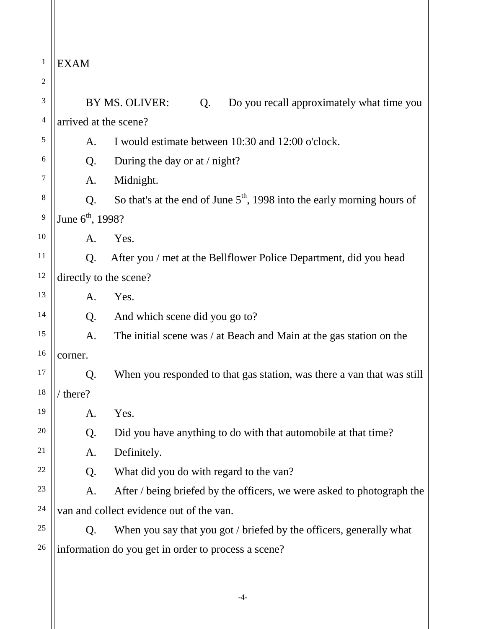1  $\parallel$ EXAM

| $\overline{c}$ |                              |                                                                           |  |
|----------------|------------------------------|---------------------------------------------------------------------------|--|
| 3              |                              | BY MS. OLIVER:<br>Do you recall approximately what time you<br>Q.         |  |
| 4              | arrived at the scene?        |                                                                           |  |
| 5              | A.                           | I would estimate between 10:30 and 12:00 o'clock.                         |  |
| 6              | Q.                           | During the day or at $/$ night?                                           |  |
| 7              | A.                           | Midnight.                                                                 |  |
| 8              | Q.                           | So that's at the end of June $5th$ , 1998 into the early morning hours of |  |
| 9              | June 6 <sup>th</sup> , 1998? |                                                                           |  |
| 10             | A.                           | Yes.                                                                      |  |
| 11             | Q.                           | After you / met at the Bellflower Police Department, did you head         |  |
| 12             | directly to the scene?       |                                                                           |  |
| 13             | A.                           | Yes.                                                                      |  |
| 14             | Q.                           | And which scene did you go to?                                            |  |
| 15             | A.                           | The initial scene was / at Beach and Main at the gas station on the       |  |
| 16             | corner.                      |                                                                           |  |
| 17             | Q.                           | When you responded to that gas station, was there a van that was still    |  |
| 18             | / there?                     |                                                                           |  |
| 19             | A.                           | Yes.                                                                      |  |
| 20             | Q.                           | Did you have anything to do with that automobile at that time?            |  |
| 21             | A.                           | Definitely.                                                               |  |
| 22             | Q.                           | What did you do with regard to the van?                                   |  |
| 23             | A.                           | After / being briefed by the officers, we were asked to photograph the    |  |
| 24             |                              | van and collect evidence out of the van.                                  |  |
| 25             | Q.                           | When you say that you got / briefed by the officers, generally what       |  |
| 26             |                              | information do you get in order to process a scene?                       |  |
|                |                              |                                                                           |  |

-4-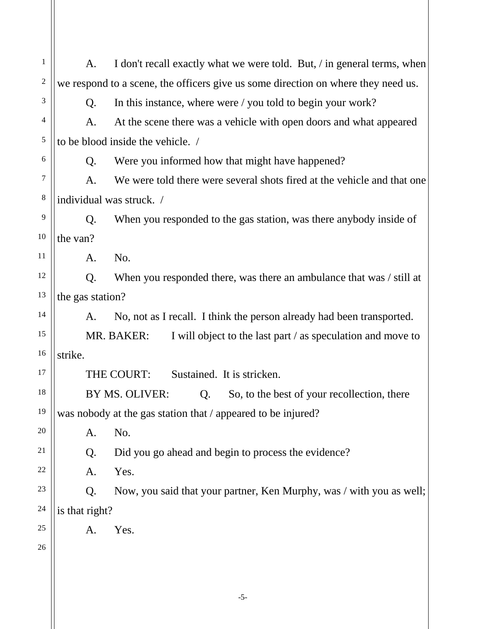-5- 1 2 3 4 5 6 7 8 9 10 11 12 13 14 15 16 17 18 19 20 21 22 23 24 25 26 A. I don't recall exactly what we were told. But, / in general terms, when we respond to a scene, the officers give us some direction on where they need us. Q. In this instance, where were / you told to begin your work? A. At the scene there was a vehicle with open doors and what appeared to be blood inside the vehicle. / Q. Were you informed how that might have happened? A. We were told there were several shots fired at the vehicle and that one individual was struck. / Q. When you responded to the gas station, was there anybody inside of the van? A. No. Q. When you responded there, was there an ambulance that was / still at the gas station? A. No, not as I recall. I think the person already had been transported. MR. BAKER: I will object to the last part / as speculation and move to strike. THE COURT: Sustained. It is stricken. BY MS. OLIVER: Q. So, to the best of your recollection, there was nobody at the gas station that / appeared to be injured? A. No. Q. Did you go ahead and begin to process the evidence? A. Yes. Q. Now, you said that your partner, Ken Murphy, was / with you as well; is that right? A. Yes.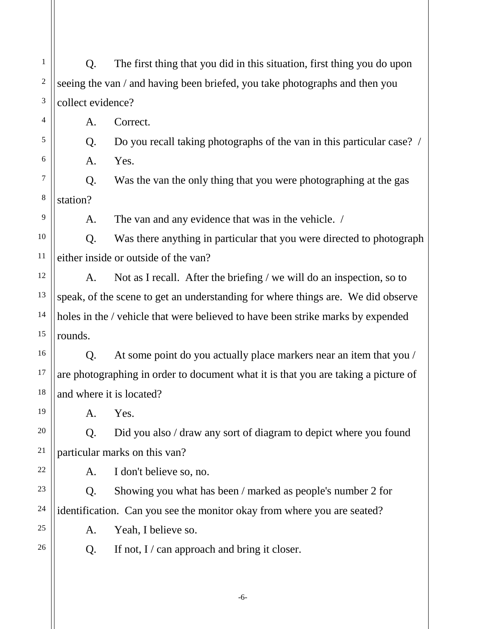1 2 3 4 5 6 7 8 9 10 11 12 13 14 15 16 17 18 19 20 21 22 23 24 25 26 Q. The first thing that you did in this situation, first thing you do upon seeing the van / and having been briefed, you take photographs and then you collect evidence? A. Correct. Q. Do you recall taking photographs of the van in this particular case? / A. Yes. Q. Was the van the only thing that you were photographing at the gas station? A. The van and any evidence that was in the vehicle. / Q. Was there anything in particular that you were directed to photograph either inside or outside of the van? A. Not as I recall. After the briefing / we will do an inspection, so to speak, of the scene to get an understanding for where things are. We did observe holes in the / vehicle that were believed to have been strike marks by expended rounds. Q. At some point do you actually place markers near an item that you / are photographing in order to document what it is that you are taking a picture of and where it is located? A. Yes. Q. Did you also / draw any sort of diagram to depict where you found particular marks on this van? A. I don't believe so, no. Q. Showing you what has been / marked as people's number 2 for identification. Can you see the monitor okay from where you are seated? A. Yeah, I believe so. Q. If not,  $I / can$  approach and bring it closer.

-6-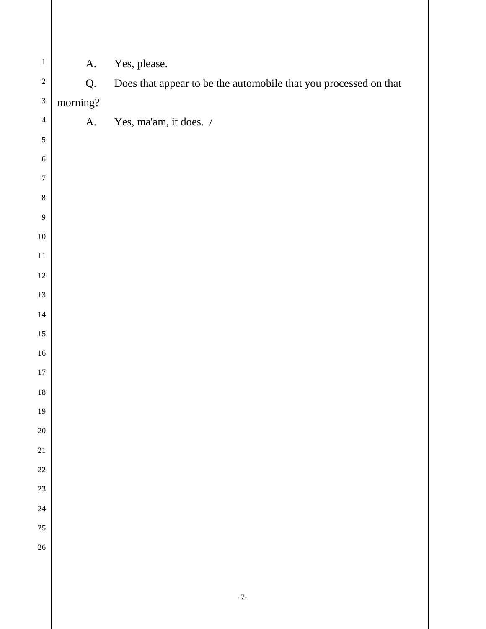| A.       | Yes, please.                                                     |
|----------|------------------------------------------------------------------|
| Q.       | Does that appear to be the automobile that you processed on that |
| morning? |                                                                  |
| A.       | Yes, ma'am, it does. /                                           |
|          |                                                                  |
|          |                                                                  |
|          |                                                                  |
|          |                                                                  |
|          |                                                                  |
|          |                                                                  |
|          |                                                                  |
|          |                                                                  |
|          |                                                                  |
|          |                                                                  |
|          |                                                                  |
|          |                                                                  |
|          |                                                                  |
|          |                                                                  |
|          |                                                                  |
|          |                                                                  |
|          |                                                                  |
|          |                                                                  |
|          |                                                                  |
|          |                                                                  |
|          |                                                                  |
|          |                                                                  |
|          |                                                                  |
|          | $\textnormal{-}7\textnormal{-}$                                  |
|          |                                                                  |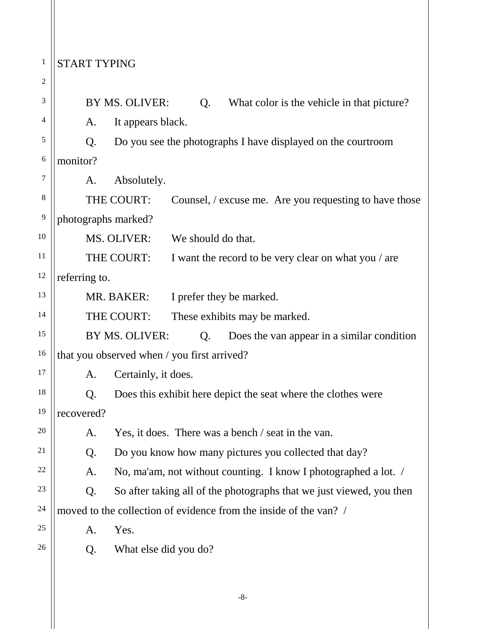## <sup>1</sup> START TYPING

| $\overline{c}$ |                                                                            |
|----------------|----------------------------------------------------------------------------|
| 3              | BY MS. OLIVER:<br>What color is the vehicle in that picture?<br>Q.         |
| 4              | It appears black.<br>A.                                                    |
| 5              | Q.<br>Do you see the photographs I have displayed on the courtroom         |
| 6              | monitor?                                                                   |
| 7              | Absolutely.<br>A.                                                          |
| $\,$ 8 $\,$    | THE COURT:<br>Counsel, / excuse me. Are you requesting to have those       |
| 9              | photographs marked?                                                        |
| 10             | MS. OLIVER:<br>We should do that.                                          |
| 11             | THE COURT:<br>I want the record to be very clear on what you / are         |
| 12             | referring to.                                                              |
| 13             | MR. BAKER:<br>I prefer they be marked.                                     |
| 14             | THE COURT:<br>These exhibits may be marked.                                |
| 15             | BY MS. OLIVER:<br>Does the van appear in a similar condition<br>Q.         |
| 16             | that you observed when / you first arrived?                                |
| 17             | Certainly, it does.<br>A.                                                  |
| 18             | Does this exhibit here depict the seat where the clothes were<br>Q.        |
| 19             | recovered?                                                                 |
| $20\,$         | Yes, it does. There was a bench / seat in the van.<br>A.                   |
| 21             | Do you know how many pictures you collected that day?<br>Q.                |
| 22             | No, ma'am, not without counting. I know I photographed a lot. /<br>A.      |
| 23             | So after taking all of the photographs that we just viewed, you then<br>Q. |
| 24             | moved to the collection of evidence from the inside of the van? /          |
| 25             | Yes.<br>A.                                                                 |
| 26             | What else did you do?<br>Q.                                                |
|                |                                                                            |
|                |                                                                            |

-8-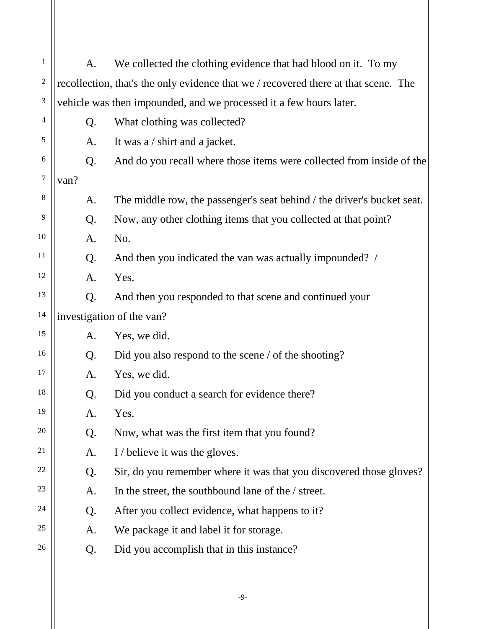| $\mathbf 1$    | A.   | We collected the clothing evidence that had blood on it. To my                      |
|----------------|------|-------------------------------------------------------------------------------------|
| $\overline{c}$ |      | recollection, that's the only evidence that we / recovered there at that scene. The |
| 3              |      | vehicle was then impounded, and we processed it a few hours later.                  |
| 4              | Q.   | What clothing was collected?                                                        |
| 5              | A.   | It was a / shirt and a jacket.                                                      |
| 6              | Q.   | And do you recall where those items were collected from inside of the               |
| 7              | van? |                                                                                     |
| 8              | A.   | The middle row, the passenger's seat behind / the driver's bucket seat.             |
| 9              | Q.   | Now, any other clothing items that you collected at that point?                     |
| 10             | A.   | No.                                                                                 |
| 11             | Q.   | And then you indicated the van was actually impounded? /                            |
| 12             | A.   | Yes.                                                                                |
| 13             | Q.   | And then you responded to that scene and continued your                             |
| 14             |      | investigation of the van?                                                           |
| 15             | A.   | Yes, we did.                                                                        |
| 16             | Q.   | Did you also respond to the scene / of the shooting?                                |
| 17             | A.   | Yes, we did.                                                                        |
| 18             | Q.   | Did you conduct a search for evidence there?                                        |
| 19             | A.   | Yes.                                                                                |
| 20             | Q.   | Now, what was the first item that you found?                                        |
| 21             | A.   | I / believe it was the gloves.                                                      |
| 22             | Q.   | Sir, do you remember where it was that you discovered those gloves?                 |
| 23             | A.   | In the street, the southbound lane of the / street.                                 |
| 24             | Q.   | After you collect evidence, what happens to it?                                     |
| 25             | A.   | We package it and label it for storage.                                             |
| 26             | Q.   | Did you accomplish that in this instance?                                           |
|                |      |                                                                                     |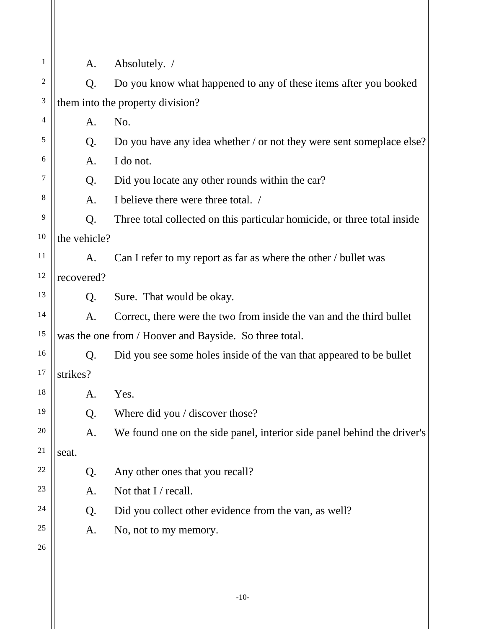| 1  | A.           | Absolutely. /                                                            |
|----|--------------|--------------------------------------------------------------------------|
| 2  | Q.           | Do you know what happened to any of these items after you booked         |
| 3  |              | them into the property division?                                         |
| 4  | A.           | No.                                                                      |
| 5  | Q.           | Do you have any idea whether / or not they were sent someplace else?     |
| 6  | A.           | I do not.                                                                |
| 7  | Q.           | Did you locate any other rounds within the car?                          |
| 8  | A.           | I believe there were three total. /                                      |
| 9  | Q.           | Three total collected on this particular homicide, or three total inside |
| 10 | the vehicle? |                                                                          |
| 11 | A.           | Can I refer to my report as far as where the other / bullet was          |
| 12 | recovered?   |                                                                          |
| 13 | Q.           | Sure. That would be okay.                                                |
| 14 | A.           | Correct, there were the two from inside the van and the third bullet     |
| 15 |              | was the one from / Hoover and Bayside. So three total.                   |
| 16 | Q.           | Did you see some holes inside of the van that appeared to be bullet      |
| 17 | strikes?     |                                                                          |
| 18 | A.           | Yes.                                                                     |
| 19 | Q.           | Where did you / discover those?                                          |
| 20 | A.           | We found one on the side panel, interior side panel behind the driver's  |
| 21 | seat.        |                                                                          |
| 22 | Q.           | Any other ones that you recall?                                          |
| 23 | A.           | Not that I / recall.                                                     |
| 24 | Q.           | Did you collect other evidence from the van, as well?                    |
| 25 | A.           | No, not to my memory.                                                    |
| 26 |              |                                                                          |
|    |              |                                                                          |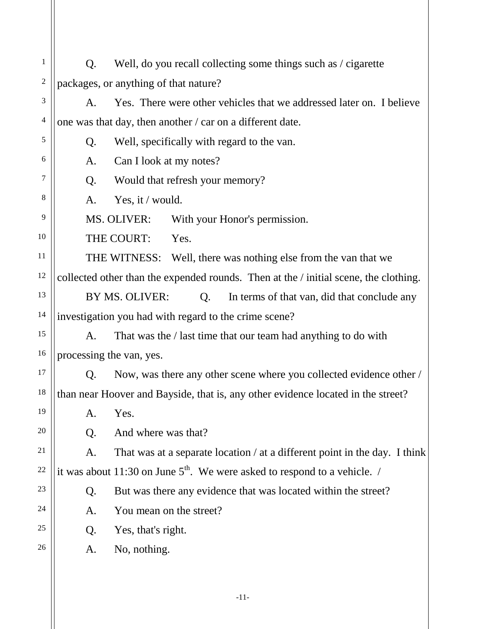| 1              | Q. | Well, do you recall collecting some things such as / cigarette                       |
|----------------|----|--------------------------------------------------------------------------------------|
| $\sqrt{2}$     |    | packages, or anything of that nature?                                                |
| 3              | A. | Yes. There were other vehicles that we addressed later on. I believe                 |
| $\overline{4}$ |    | one was that day, then another / car on a different date.                            |
| 5              | Q. | Well, specifically with regard to the van.                                           |
| 6              | A. | Can I look at my notes?                                                              |
| 7              | Q. | Would that refresh your memory?                                                      |
| 8              | A. | Yes, it / would.                                                                     |
| 9              |    | MS. OLIVER:<br>With your Honor's permission.                                         |
| 10             |    | THE COURT:<br>Yes.                                                                   |
| 11             |    | THE WITNESS: Well, there was nothing else from the van that we                       |
| 12             |    | collected other than the expended rounds. Then at the / initial scene, the clothing. |
| 13             |    | BY MS. OLIVER:<br>In terms of that van, did that conclude any<br>Q.                  |
| 14             |    | investigation you had with regard to the crime scene?                                |
| 15             | A. | That was the / last time that our team had anything to do with                       |
| 16             |    | processing the van, yes.                                                             |
| 17             | Q. | Now, was there any other scene where you collected evidence other /                  |
| 18             |    | than near Hoover and Bayside, that is, any other evidence located in the street?     |
| 19             | A. | Yes.                                                                                 |
| 20             | Q. | And where was that?                                                                  |
| 21             | A. | That was at a separate location / at a different point in the day. I think           |
| 22             |    | it was about 11:30 on June $5th$ . We were asked to respond to a vehicle. /          |
| 23             | Q. | But was there any evidence that was located within the street?                       |
| 24             | A. | You mean on the street?                                                              |
| 25             | Q. | Yes, that's right.                                                                   |
| 26             | A. | No, nothing.                                                                         |
|                |    |                                                                                      |

-11-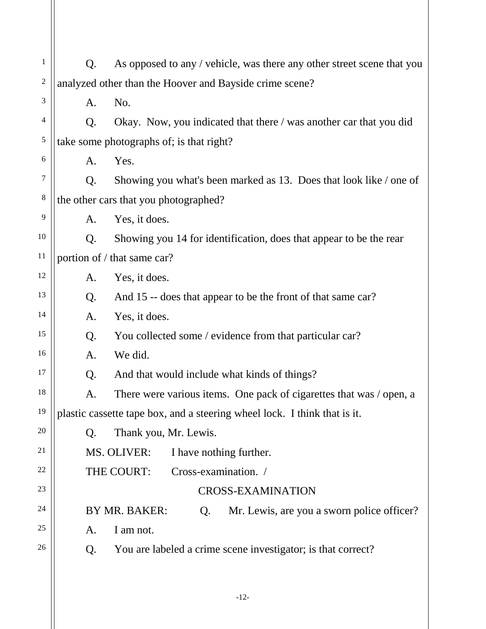| $\,1\,$        | Q. | As opposed to any / vehicle, was there any other street scene that you    |
|----------------|----|---------------------------------------------------------------------------|
| $\overline{c}$ |    | analyzed other than the Hoover and Bayside crime scene?                   |
| 3              | A. | No.                                                                       |
| 4              | Q. | Okay. Now, you indicated that there / was another car that you did        |
| 5              |    | take some photographs of; is that right?                                  |
| 6              | A. | Yes.                                                                      |
| 7              | Q. | Showing you what's been marked as 13. Does that look like / one of        |
| 8              |    | the other cars that you photographed?                                     |
| 9              | A. | Yes, it does.                                                             |
| 10             | Q. | Showing you 14 for identification, does that appear to be the rear        |
| 11             |    | portion of / that same car?                                               |
| 12             | A. | Yes, it does.                                                             |
| 13             | Q. | And 15 -- does that appear to be the front of that same car?              |
| 14             | A. | Yes, it does.                                                             |
| 15             | Q. | You collected some / evidence from that particular car?                   |
| 16             | A. | We did.                                                                   |
| 17             | Q. | And that would include what kinds of things?                              |
| 18             | A. | There were various items. One pack of cigarettes that was / open, a       |
| 19             |    | plastic cassette tape box, and a steering wheel lock. I think that is it. |
| 20             | Q. | Thank you, Mr. Lewis.                                                     |
| 21             |    | MS. OLIVER:<br>I have nothing further.                                    |
| 22             |    | THE COURT:<br>Cross-examination. /                                        |
| 23             |    | <b>CROSS-EXAMINATION</b>                                                  |
| 24             |    | BY MR. BAKER:<br>Mr. Lewis, are you a sworn police officer?<br>Q.         |
| 25             | A. | I am not.                                                                 |
| 26             | Q. | You are labeled a crime scene investigator; is that correct?              |
|                |    |                                                                           |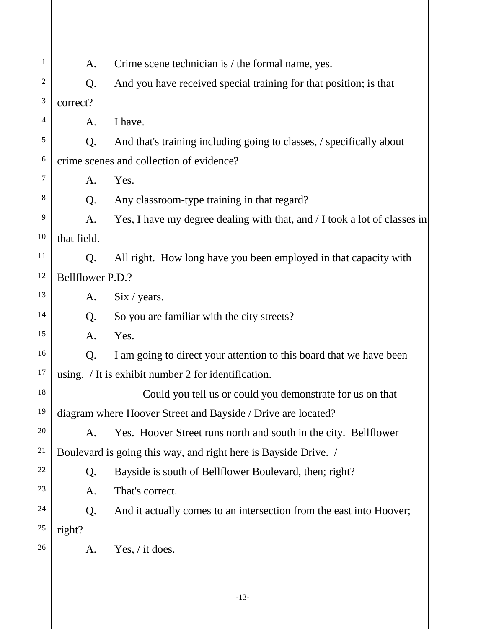| 1  | A.               | Crime scene technician is / the formal name, yes.                         |
|----|------------------|---------------------------------------------------------------------------|
| 2  | Q.               | And you have received special training for that position; is that         |
| 3  | correct?         |                                                                           |
| 4  | A.               | I have.                                                                   |
| 5  | Q.               | And that's training including going to classes, / specifically about      |
| 6  |                  | crime scenes and collection of evidence?                                  |
| 7  | A.               | Yes.                                                                      |
| 8  | Q.               | Any classroom-type training in that regard?                               |
| 9  | A.               | Yes, I have my degree dealing with that, and / I took a lot of classes in |
| 10 | that field.      |                                                                           |
| 11 | Q.               | All right. How long have you been employed in that capacity with          |
| 12 | Bellflower P.D.? |                                                                           |
| 13 | A.               | Six / years.                                                              |
| 14 | Q.               | So you are familiar with the city streets?                                |
| 15 | A.               | Yes.                                                                      |
| 16 | Q.               | I am going to direct your attention to this board that we have been       |
| 17 |                  | using. / It is exhibit number 2 for identification.                       |
| 18 |                  | Could you tell us or could you demonstrate for us on that                 |
| 19 |                  | diagram where Hoover Street and Bayside / Drive are located?              |
| 20 | A.               | Yes. Hoover Street runs north and south in the city. Bellflower           |
| 21 |                  | Boulevard is going this way, and right here is Bayside Drive. /           |
| 22 | Q.               | Bayside is south of Bellflower Boulevard, then; right?                    |
| 23 | A.               | That's correct.                                                           |
| 24 | Q.               | And it actually comes to an intersection from the east into Hoover;       |
| 25 | right?           |                                                                           |
| 26 | A.               | Yes, $\frac{\pi}{6}$ it does.                                             |
|    |                  |                                                                           |
|    |                  |                                                                           |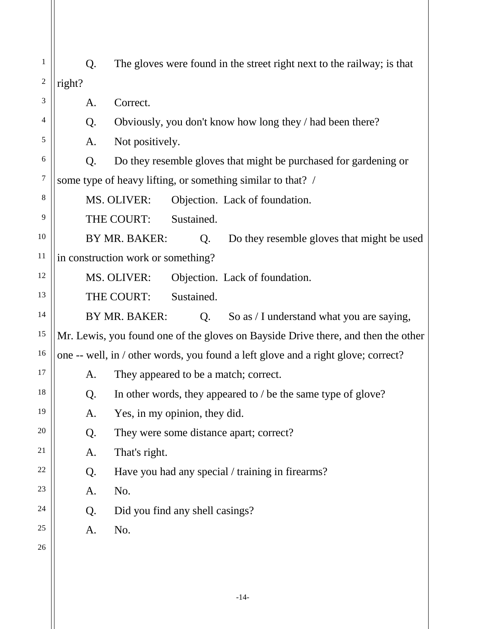| 1              | Q.     | The gloves were found in the street right next to the railway; is that            |
|----------------|--------|-----------------------------------------------------------------------------------|
| $\overline{2}$ | right? |                                                                                   |
| 3              | A.     | Correct.                                                                          |
| 4              | Q.     | Obviously, you don't know how long they / had been there?                         |
| 5              | A.     | Not positively.                                                                   |
| 6              | Q.     | Do they resemble gloves that might be purchased for gardening or                  |
| $\overline{7}$ |        | some type of heavy lifting, or something similar to that? /                       |
| 8              |        | MS. OLIVER:<br>Objection. Lack of foundation.                                     |
| 9              |        | THE COURT:<br>Sustained.                                                          |
| 10             |        | BY MR. BAKER:<br>Do they resemble gloves that might be used<br>Q.                 |
| 11             |        | in construction work or something?                                                |
| 12             |        | MS. OLIVER:<br>Objection. Lack of foundation.                                     |
| 13             |        | Sustained.<br>THE COURT:                                                          |
| 14             |        | BY MR. BAKER:<br>Q.<br>So as / I understand what you are saying,                  |
| 15             |        | Mr. Lewis, you found one of the gloves on Bayside Drive there, and then the other |
| 16             |        | one -- well, in / other words, you found a left glove and a right glove; correct? |
| 17             | A.     | They appeared to be a match; correct.                                             |
| 18             | Q.     | In other words, they appeared to / be the same type of glove?                     |
| 19             | A.     | Yes, in my opinion, they did.                                                     |
| 20             | Q.     | They were some distance apart; correct?                                           |
| 21             | A.     | That's right.                                                                     |
| 22             | Q.     | Have you had any special / training in firearms?                                  |
| 23             | A.     | No.                                                                               |
| 24             | Q.     | Did you find any shell casings?                                                   |
| 25             | A.     | No.                                                                               |
| 26             |        |                                                                                   |
|                |        |                                                                                   |
|                |        |                                                                                   |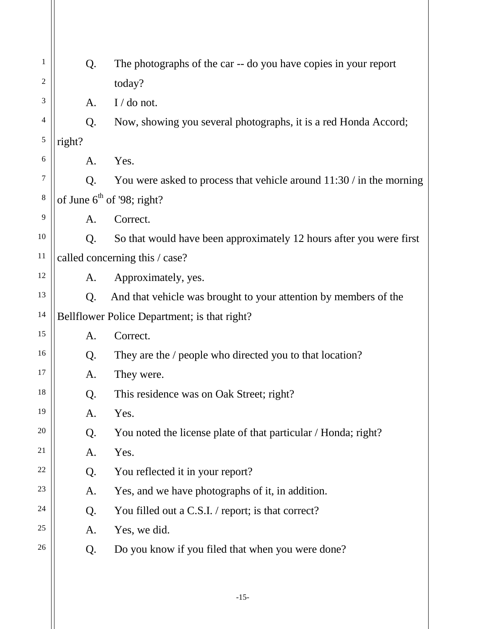| 1  | Q.                             | The photographs of the car -- do you have copies in your report        |  |
|----|--------------------------------|------------------------------------------------------------------------|--|
| 2  |                                | today?                                                                 |  |
| 3  | A.                             | $I/do$ not.                                                            |  |
| 4  | Q.                             | Now, showing you several photographs, it is a red Honda Accord;        |  |
| 5  | right?                         |                                                                        |  |
| 6  | A.                             | Yes.                                                                   |  |
| 7  | Q.                             | You were asked to process that vehicle around $11:30 /$ in the morning |  |
| 8  | of June $6th$ of '98; right?   |                                                                        |  |
| 9  | A.                             | Correct.                                                               |  |
| 10 | Q.                             | So that would have been approximately 12 hours after you were first    |  |
| 11 | called concerning this / case? |                                                                        |  |
| 12 | A.                             | Approximately, yes.                                                    |  |
| 13 | Q.                             | And that vehicle was brought to your attention by members of the       |  |
| 14 |                                | Bellflower Police Department; is that right?                           |  |
| 15 | A.                             | Correct.                                                               |  |
| 16 | Q.                             | They are the / people who directed you to that location?               |  |
| 17 | A.                             | They were.                                                             |  |
| 18 | Q.                             | This residence was on Oak Street; right?                               |  |
| 19 | A.                             | Yes.                                                                   |  |
| 20 | Q.                             | You noted the license plate of that particular / Honda; right?         |  |
| 21 | A.                             | Yes.                                                                   |  |
| 22 | Q.                             | You reflected it in your report?                                       |  |
| 23 | A.                             | Yes, and we have photographs of it, in addition.                       |  |
| 24 | Q.                             | You filled out a C.S.I. / report; is that correct?                     |  |
| 25 | A.                             | Yes, we did.                                                           |  |
| 26 | Q.                             | Do you know if you filed that when you were done?                      |  |
|    |                                |                                                                        |  |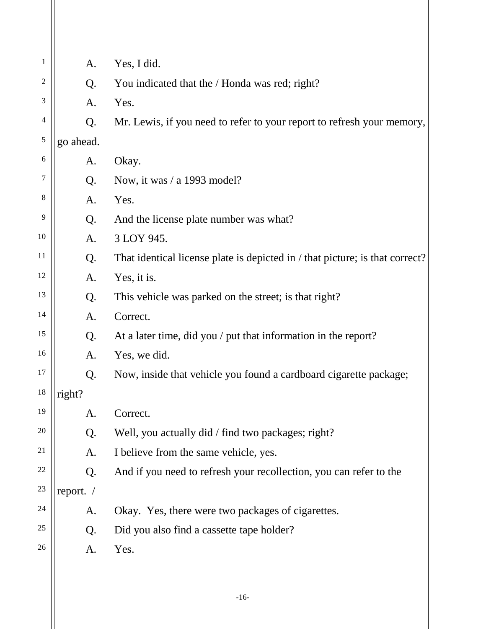| 1              | A.        | Yes, I did.                                                                  |
|----------------|-----------|------------------------------------------------------------------------------|
| $\overline{2}$ | Q.        | You indicated that the / Honda was red; right?                               |
| 3              | A.        | Yes.                                                                         |
| 4              | Q.        | Mr. Lewis, if you need to refer to your report to refresh your memory,       |
| 5              | go ahead. |                                                                              |
| 6              | A.        | Okay.                                                                        |
| 7              | Q.        | Now, it was $/ a 1993 \text{ model}$ ?                                       |
| 8              | A.        | Yes.                                                                         |
| 9              | Q.        | And the license plate number was what?                                       |
| 10             | A.        | 3 LOY 945.                                                                   |
| 11             | Q.        | That identical license plate is depicted in / that picture; is that correct? |
| 12             | A.        | Yes, it is.                                                                  |
| 13             | Q.        | This vehicle was parked on the street; is that right?                        |
| 14             | A.        | Correct.                                                                     |
| 15             | Q.        | At a later time, did you / put that information in the report?               |
| 16             | A.        | Yes, we did.                                                                 |
| 17             | Q.        | Now, inside that vehicle you found a cardboard cigarette package;            |
| 18             | right?    |                                                                              |
| 19             | A.        | Correct.                                                                     |
| 20             | Q.        | Well, you actually did / find two packages; right?                           |
| 21             | A.        | I believe from the same vehicle, yes.                                        |
| 22             | Q.        | And if you need to refresh your recollection, you can refer to the           |
| 23             | report. / |                                                                              |
| 24             | A.        | Okay. Yes, there were two packages of cigarettes.                            |
| 25             | Q.        | Did you also find a cassette tape holder?                                    |
| 26             | A.        | Yes.                                                                         |
|                |           |                                                                              |
|                |           |                                                                              |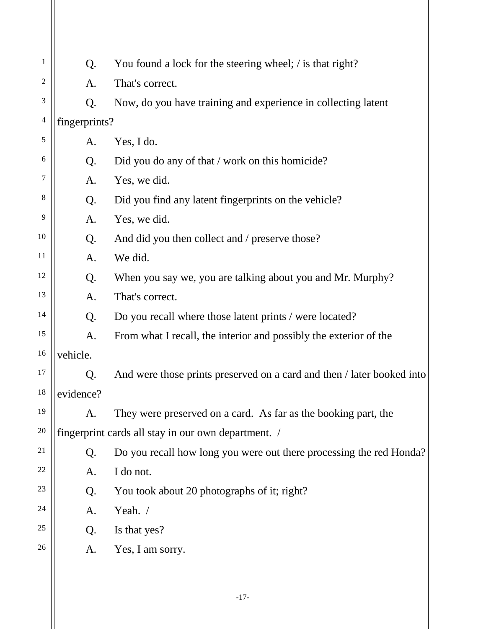| 1              | Q.                                                  | You found a lock for the steering wheel; / is that right?              |  |
|----------------|-----------------------------------------------------|------------------------------------------------------------------------|--|
| 2              | A.                                                  | That's correct.                                                        |  |
| 3              | Q.                                                  | Now, do you have training and experience in collecting latent          |  |
| $\overline{4}$ | fingerprints?                                       |                                                                        |  |
| 5              | A.                                                  | Yes, I do.                                                             |  |
| $\sqrt{6}$     | Q.                                                  | Did you do any of that / work on this homicide?                        |  |
| 7              | A.                                                  | Yes, we did.                                                           |  |
| 8              | Q.                                                  | Did you find any latent fingerprints on the vehicle?                   |  |
| 9              | A.                                                  | Yes, we did.                                                           |  |
| 10             | Q.                                                  | And did you then collect and / preserve those?                         |  |
| 11             | A.                                                  | We did.                                                                |  |
| 12             | Q.                                                  | When you say we, you are talking about you and Mr. Murphy?             |  |
| 13             | A.                                                  | That's correct.                                                        |  |
| 14             | Q.                                                  | Do you recall where those latent prints / were located?                |  |
| 15             | A.                                                  | From what I recall, the interior and possibly the exterior of the      |  |
| 16             | vehicle.                                            |                                                                        |  |
| 17             | Q.                                                  | And were those prints preserved on a card and then / later booked into |  |
| 18             | evidence?                                           |                                                                        |  |
| 19             | A.                                                  | They were preserved on a card. As far as the booking part, the         |  |
| 20             | fingerprint cards all stay in our own department. / |                                                                        |  |
| 21             | Q.                                                  | Do you recall how long you were out there processing the red Honda?    |  |
| 22             | A.                                                  | I do not.                                                              |  |
| 23             | Q.                                                  | You took about 20 photographs of it; right?                            |  |
| 24             | A.                                                  | Yeah. /                                                                |  |
| 25             | Q.                                                  | Is that yes?                                                           |  |
| 26             | A.                                                  | Yes, I am sorry.                                                       |  |
|                |                                                     |                                                                        |  |
|                |                                                     |                                                                        |  |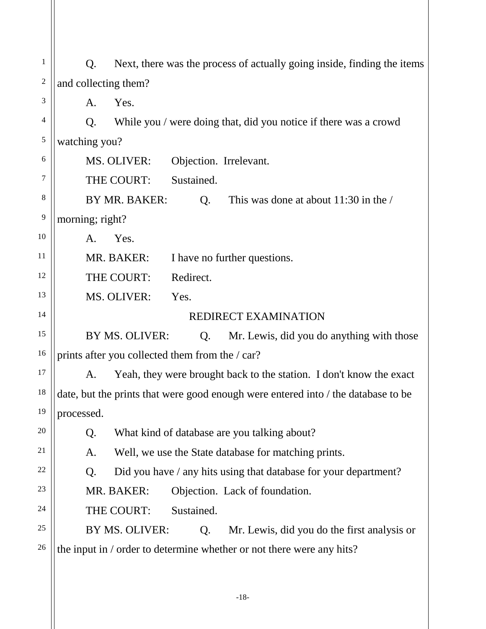1 2 3 4 5 6 7 8 9 10 11 12 13 14 15 16 17 18 19 20 21 22 23 24 25 26 Q. Next, there was the process of actually going inside, finding the items and collecting them? A. Yes. Q. While you / were doing that, did you notice if there was a crowd watching you? MS. OLIVER: Objection. Irrelevant. THE COURT: Sustained. BY MR. BAKER:  $\qquad \qquad$  O. This was done at about 11:30 in the / morning; right? A. Yes. MR. BAKER: I have no further questions. THE COURT: Redirect. MS. OLIVER: Yes. REDIRECT EXAMINATION BY MS. OLIVER: Q. Mr. Lewis, did you do anything with those prints after you collected them from the / car? A. Yeah, they were brought back to the station. I don't know the exact date, but the prints that were good enough were entered into / the database to be processed. Q. What kind of database are you talking about? A. Well, we use the State database for matching prints. Q. Did you have / any hits using that database for your department? MR. BAKER: Objection. Lack of foundation. THE COURT: Sustained. BY MS. OLIVER: Q. Mr. Lewis, did you do the first analysis or the input in / order to determine whether or not there were any hits?